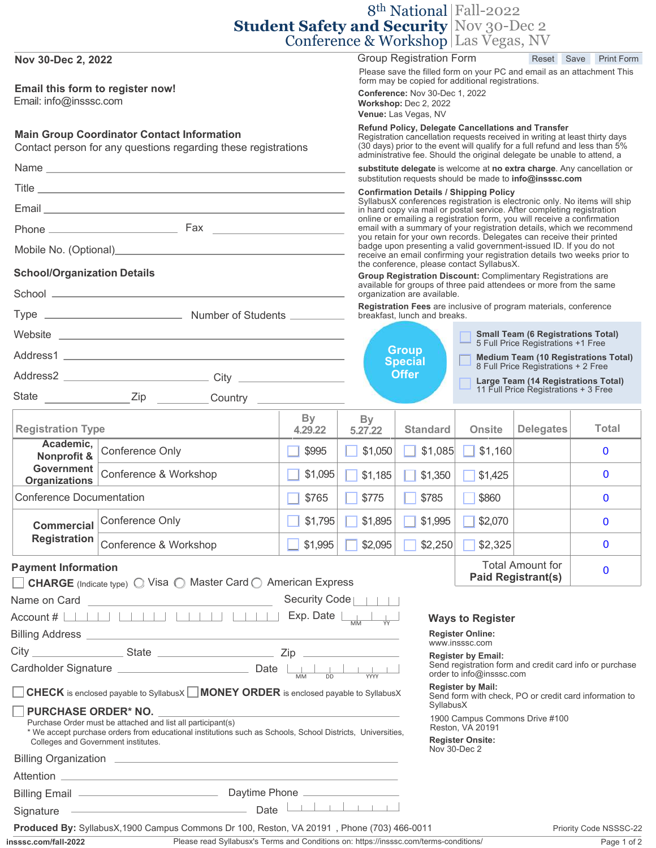|                                                                                                                                                                                                                                                |                                                                                                  |               |                                                                                                                                                                                                                                                                                                                                                                                                                                                                   |                                                                                                                                                                                                                                                                                                                                                                                                                                                                                                  | 8 <sup>th</sup> National Fall-2022                                                                                                 |                                                      |  |                   |
|------------------------------------------------------------------------------------------------------------------------------------------------------------------------------------------------------------------------------------------------|--------------------------------------------------------------------------------------------------|---------------|-------------------------------------------------------------------------------------------------------------------------------------------------------------------------------------------------------------------------------------------------------------------------------------------------------------------------------------------------------------------------------------------------------------------------------------------------------------------|--------------------------------------------------------------------------------------------------------------------------------------------------------------------------------------------------------------------------------------------------------------------------------------------------------------------------------------------------------------------------------------------------------------------------------------------------------------------------------------------------|------------------------------------------------------------------------------------------------------------------------------------|------------------------------------------------------|--|-------------------|
|                                                                                                                                                                                                                                                |                                                                                                  |               |                                                                                                                                                                                                                                                                                                                                                                                                                                                                   |                                                                                                                                                                                                                                                                                                                                                                                                                                                                                                  | <b>Student Safety and Security Nov 30-Dec 2</b>                                                                                    |                                                      |  |                   |
|                                                                                                                                                                                                                                                |                                                                                                  |               |                                                                                                                                                                                                                                                                                                                                                                                                                                                                   | <b>Group Registration Form</b>                                                                                                                                                                                                                                                                                                                                                                                                                                                                   | Conference & Workshop Las Vegas, NV                                                                                                | Reset Save                                           |  | <b>Print Form</b> |
| Nov 30-Dec 2, 2022                                                                                                                                                                                                                             |                                                                                                  |               |                                                                                                                                                                                                                                                                                                                                                                                                                                                                   |                                                                                                                                                                                                                                                                                                                                                                                                                                                                                                  | Please save the filled form on your PC and email as an attachment This                                                             |                                                      |  |                   |
| Email this form to register now!<br>Email: info@insssc.com                                                                                                                                                                                     |                                                                                                  |               |                                                                                                                                                                                                                                                                                                                                                                                                                                                                   | form may be copied for additional registrations.<br>Conference: Nov 30-Dec 1, 2022<br>Workshop: Dec 2, 2022<br>Venue: Las Vegas, NV                                                                                                                                                                                                                                                                                                                                                              |                                                                                                                                    |                                                      |  |                   |
| <b>Main Group Coordinator Contact Information</b><br>Contact person for any questions regarding these registrations                                                                                                                            |                                                                                                  |               |                                                                                                                                                                                                                                                                                                                                                                                                                                                                   | Refund Policy, Delegate Cancellations and Transfer<br>Registration cancellation requests received in writing at least thirty days<br>(30 days) prior to the event will qualify for a full refund and less than 5%<br>administrative fee. Should the original delegate be unable to attend, a                                                                                                                                                                                                     |                                                                                                                                    |                                                      |  |                   |
|                                                                                                                                                                                                                                                |                                                                                                  |               |                                                                                                                                                                                                                                                                                                                                                                                                                                                                   | substitute delegate is welcome at no extra charge. Any cancellation or                                                                                                                                                                                                                                                                                                                                                                                                                           |                                                                                                                                    |                                                      |  |                   |
|                                                                                                                                                                                                                                                |                                                                                                  |               |                                                                                                                                                                                                                                                                                                                                                                                                                                                                   | substitution requests should be made to info@insssc.com<br><b>Confirmation Details / Shipping Policy</b>                                                                                                                                                                                                                                                                                                                                                                                         |                                                                                                                                    |                                                      |  |                   |
|                                                                                                                                                                                                                                                |                                                                                                  |               |                                                                                                                                                                                                                                                                                                                                                                                                                                                                   |                                                                                                                                                                                                                                                                                                                                                                                                                                                                                                  | SyllabusX conferences registration is electronic only. No items will ship                                                          |                                                      |  |                   |
|                                                                                                                                                                                                                                                |                                                                                                  |               |                                                                                                                                                                                                                                                                                                                                                                                                                                                                   | in hard copy via mail or postal service. After completing registration<br>online or emailing a registration form, you will receive a confirmation<br>email with a summary of your registration details, which we recommend<br>you retain for your own records. Delegates can receive their printed<br>badge upon presenting a valid government-issued ID. If you do not<br>receive an email confirming your registration details two weeks prior to<br>the conference, please contact SyllabusX. |                                                                                                                                    |                                                      |  |                   |
|                                                                                                                                                                                                                                                |                                                                                                  |               |                                                                                                                                                                                                                                                                                                                                                                                                                                                                   |                                                                                                                                                                                                                                                                                                                                                                                                                                                                                                  |                                                                                                                                    |                                                      |  |                   |
| <b>School/Organization Details</b>                                                                                                                                                                                                             |                                                                                                  |               |                                                                                                                                                                                                                                                                                                                                                                                                                                                                   |                                                                                                                                                                                                                                                                                                                                                                                                                                                                                                  | Group Registration Discount: Complimentary Registrations are<br>available for groups of three paid attendees or more from the same |                                                      |  |                   |
|                                                                                                                                                                                                                                                |                                                                                                  |               |                                                                                                                                                                                                                                                                                                                                                                                                                                                                   | organization are available.                                                                                                                                                                                                                                                                                                                                                                                                                                                                      |                                                                                                                                    |                                                      |  |                   |
|                                                                                                                                                                                                                                                |                                                                                                  |               |                                                                                                                                                                                                                                                                                                                                                                                                                                                                   | breakfast. lunch and breaks.                                                                                                                                                                                                                                                                                                                                                                                                                                                                     | Registration Fees are inclusive of program materials, conference                                                                   |                                                      |  |                   |
|                                                                                                                                                                                                                                                |                                                                                                  |               |                                                                                                                                                                                                                                                                                                                                                                                                                                                                   |                                                                                                                                                                                                                                                                                                                                                                                                                                                                                                  |                                                                                                                                    | <b>Small Team (6 Registrations Total)</b>            |  |                   |
|                                                                                                                                                                                                                                                |                                                                                                  |               |                                                                                                                                                                                                                                                                                                                                                                                                                                                                   | <b>Group</b><br>Medium Team (10 Registrations Total)<br>8 Full Price Registrations + 2 Free<br><b>Special</b><br><b>Offer</b><br>Large Team (14 Registrations Total)                                                                                                                                                                                                                                                                                                                             |                                                                                                                                    | 5 Full Price Registrations +1 Free                   |  |                   |
|                                                                                                                                                                                                                                                |                                                                                                  |               |                                                                                                                                                                                                                                                                                                                                                                                                                                                                   |                                                                                                                                                                                                                                                                                                                                                                                                                                                                                                  |                                                                                                                                    |                                                      |  |                   |
|                                                                                                                                                                                                                                                |                                                                                                  |               |                                                                                                                                                                                                                                                                                                                                                                                                                                                                   |                                                                                                                                                                                                                                                                                                                                                                                                                                                                                                  |                                                                                                                                    | 11 Full Price Registrations + 3 Free                 |  |                   |
|                                                                                                                                                                                                                                                |                                                                                                  | By            | <b>By</b>                                                                                                                                                                                                                                                                                                                                                                                                                                                         |                                                                                                                                                                                                                                                                                                                                                                                                                                                                                                  |                                                                                                                                    |                                                      |  |                   |
| <b>Registration Type</b>                                                                                                                                                                                                                       |                                                                                                  | 4.29.22       | 5.27.22                                                                                                                                                                                                                                                                                                                                                                                                                                                           | <b>Standard</b>                                                                                                                                                                                                                                                                                                                                                                                                                                                                                  | <b>Onsite</b>                                                                                                                      | <b>Delegates</b>                                     |  | <b>Total</b>      |
| Academic,<br>Nonprofit &                                                                                                                                                                                                                       | Conference Only                                                                                  | \$995         | \$1,050                                                                                                                                                                                                                                                                                                                                                                                                                                                           | \$1,085                                                                                                                                                                                                                                                                                                                                                                                                                                                                                          | $\Box$ \$1,160                                                                                                                     |                                                      |  | $\bf{0}$          |
| <b>Government</b><br><b>Organizations</b>                                                                                                                                                                                                      | Conference & Workshop                                                                            | \$1,095       | \$1,185                                                                                                                                                                                                                                                                                                                                                                                                                                                           | \$1,350                                                                                                                                                                                                                                                                                                                                                                                                                                                                                          | \$1,425                                                                                                                            |                                                      |  | $\mathbf 0$       |
| <b>Conference Documentation</b>                                                                                                                                                                                                                |                                                                                                  | \$765         | \$775                                                                                                                                                                                                                                                                                                                                                                                                                                                             | \$785                                                                                                                                                                                                                                                                                                                                                                                                                                                                                            | \$860                                                                                                                              |                                                      |  | $\bf{0}$          |
| <b>Commercial</b>                                                                                                                                                                                                                              | Conference Only                                                                                  | \$1,795       | \$1,895                                                                                                                                                                                                                                                                                                                                                                                                                                                           | \$1,995                                                                                                                                                                                                                                                                                                                                                                                                                                                                                          | \$2,070                                                                                                                            |                                                      |  | $\mathbf{0}$      |
| <b>Registration</b>                                                                                                                                                                                                                            | Conference & Workshop                                                                            | \$1,995       | \$2,095                                                                                                                                                                                                                                                                                                                                                                                                                                                           | \$2,250                                                                                                                                                                                                                                                                                                                                                                                                                                                                                          | \$2,325                                                                                                                            |                                                      |  | $\bf{0}$          |
| <b>Payment Information</b>                                                                                                                                                                                                                     | <b>CHARGE</b> (Indicate type) $\bigcirc$ Visa $\bigcirc$ Master Card $\bigcirc$ American Express |               |                                                                                                                                                                                                                                                                                                                                                                                                                                                                   |                                                                                                                                                                                                                                                                                                                                                                                                                                                                                                  |                                                                                                                                    | <b>Total Amount for</b><br><b>Paid Registrant(s)</b> |  | $\bf{0}$          |
| Name on Card                                                                                                                                                                                                                                   |                                                                                                  | Security Code |                                                                                                                                                                                                                                                                                                                                                                                                                                                                   |                                                                                                                                                                                                                                                                                                                                                                                                                                                                                                  |                                                                                                                                    |                                                      |  |                   |
| Account #                                                                                                                                                                                                                                      |                                                                                                  | Exp. Date     |                                                                                                                                                                                                                                                                                                                                                                                                                                                                   |                                                                                                                                                                                                                                                                                                                                                                                                                                                                                                  | <b>Ways to Register</b>                                                                                                            |                                                      |  |                   |
| <b>Billing Address</b>                                                                                                                                                                                                                         |                                                                                                  |               |                                                                                                                                                                                                                                                                                                                                                                                                                                                                   |                                                                                                                                                                                                                                                                                                                                                                                                                                                                                                  | <b>Register Online:</b><br>www.insssc.com                                                                                          |                                                      |  |                   |
| City<br><b>State</b><br>Zip                                                                                                                                                                                                                    |                                                                                                  |               |                                                                                                                                                                                                                                                                                                                                                                                                                                                                   |                                                                                                                                                                                                                                                                                                                                                                                                                                                                                                  | <b>Register by Email:</b>                                                                                                          |                                                      |  |                   |
| Cardholder Signature<br>Date                                                                                                                                                                                                                   |                                                                                                  |               |                                                                                                                                                                                                                                                                                                                                                                                                                                                                   |                                                                                                                                                                                                                                                                                                                                                                                                                                                                                                  | Send registration form and credit card info or purchase<br>order to info@insssc.com<br><b>Register by Mail:</b>                    |                                                      |  |                   |
|                                                                                                                                                                                                                                                | <b>CHECK</b> is enclosed payable to SyllabusX MONEY ORDER is enclosed payable to SyllabusX       |               |                                                                                                                                                                                                                                                                                                                                                                                                                                                                   | SyllabusX                                                                                                                                                                                                                                                                                                                                                                                                                                                                                        | Send form with check, PO or credit card information to                                                                             |                                                      |  |                   |
| <b>PURCHASE ORDER* NO.</b><br>Purchase Order must be attached and list all participant(s)<br>* We accept purchase orders from educational institutions such as Schools, School Districts, Universities,<br>Colleges and Government institutes. |                                                                                                  |               |                                                                                                                                                                                                                                                                                                                                                                                                                                                                   | 1900 Campus Commons Drive #100<br>Reston, VA 20191<br><b>Register Onsite:</b><br>Nov 30-Dec 2                                                                                                                                                                                                                                                                                                                                                                                                    |                                                                                                                                    |                                                      |  |                   |
| <b>Billing Organization</b>                                                                                                                                                                                                                    |                                                                                                  |               |                                                                                                                                                                                                                                                                                                                                                                                                                                                                   |                                                                                                                                                                                                                                                                                                                                                                                                                                                                                                  |                                                                                                                                    |                                                      |  |                   |
| Attention                                                                                                                                                                                                                                      |                                                                                                  |               |                                                                                                                                                                                                                                                                                                                                                                                                                                                                   |                                                                                                                                                                                                                                                                                                                                                                                                                                                                                                  |                                                                                                                                    |                                                      |  |                   |
| Daytime Phone<br><b>Billing Email</b>                                                                                                                                                                                                          |                                                                                                  |               | $\begin{tabular}{c} \multicolumn{1}{c }{\textbf{1}} & \multicolumn{1}{c }{\textbf{1}} & \multicolumn{1}{c }{\textbf{1}} & \multicolumn{1}{c }{\textbf{1}} \\ \multicolumn{1}{c }{\textbf{1}} & \multicolumn{1}{c }{\textbf{1}} & \multicolumn{1}{c }{\textbf{1}} & \multicolumn{1}{c }{\textbf{1}} \\ \multicolumn{1}{c }{\textbf{1}} & \multicolumn{1}{c }{\textbf{1}} & \multicolumn{1}{c }{\textbf{1}} & \multicolumn{1}{c }{\textbf{1}} \\ \multicolumn{1}{c$ |                                                                                                                                                                                                                                                                                                                                                                                                                                                                                                  |                                                                                                                                    |                                                      |  |                   |
| Signature                                                                                                                                                                                                                                      | Date                                                                                             |               |                                                                                                                                                                                                                                                                                                                                                                                                                                                                   |                                                                                                                                                                                                                                                                                                                                                                                                                                                                                                  |                                                                                                                                    |                                                      |  |                   |

| <b>Produced By:</b> SyllabusX, 1900 Campus Commons Dr 100, Reston, VA 20191, Phone (703) 466-0011 |                                                                         |  |  |
|---------------------------------------------------------------------------------------------------|-------------------------------------------------------------------------|--|--|
| insssc.com/fall-2022                                                                              | Please read Syllabusx's Terms and Conditions on: https://insssc.com/ter |  |  |

Please read Syllabusx's Terms and Conditions on: https://insssc.com/terms-conditions/